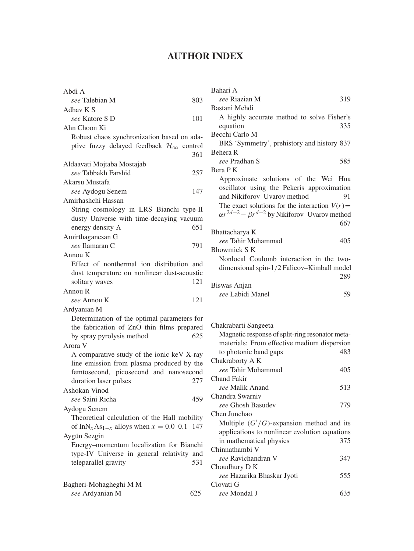## **AUTHOR INDEX**

| Abdi A                                                              |     |
|---------------------------------------------------------------------|-----|
| see Talebian M                                                      | 803 |
| Adhav K S                                                           |     |
| see Katore S D                                                      | 101 |
| Ahn Choon Ki                                                        |     |
| Robust chaos synchronization based on ada-                          |     |
| ptive fuzzy delayed feedback $\mathcal{H}_{\infty}$ control         |     |
|                                                                     | 361 |
| Aldaavati Mojtaba Mostajab                                          |     |
| see Tabbakh Farshid                                                 | 257 |
| Akarsu Mustafa                                                      |     |
| see Aydogu Senem                                                    | 147 |
| Amirhashchi Hassan                                                  |     |
| String cosmology in LRS Bianchi type-II                             |     |
| dusty Universe with time-decaying vacuum                            |     |
| energy density A                                                    | 651 |
| Amirthaganesan G                                                    |     |
| see Ilamaran C                                                      | 791 |
| Annou K                                                             |     |
| Effect of nonthermal ion distribution                               | and |
| dust temperature on nonlinear dust-acoustic                         |     |
| solitary waves                                                      | 121 |
| Annou R                                                             |     |
|                                                                     |     |
| see Annou K                                                         | 121 |
| Ardyanian M                                                         |     |
| Determination of the optimal parameters for                         |     |
| the fabrication of ZnO thin films prepared                          |     |
| by spray pyrolysis method                                           | 625 |
| Arora V                                                             |     |
| A comparative study of the ionic keV X-ray                          |     |
| line emission from plasma produced by the                           |     |
| femtosecond, picosecond and nanosecond                              |     |
| duration laser pulses                                               | 277 |
| Ashokan Vinod                                                       |     |
| see Saini Richa                                                     | 459 |
| Aydogu Senem                                                        |     |
| Theoretical calculation of the Hall mobility                        |     |
| of InN <sub>x</sub> As <sub>1-x</sub> alloys when $x = 0.0-0.1$ 147 |     |
| Aygün Sezgin                                                        |     |
| Energy-momentum localization for Bianchi                            |     |
| type-IV Universe in general relativity                              | and |
| teleparallel gravity                                                | 531 |
|                                                                     |     |
| Bagheri-Mohagheghi M M                                              |     |

| Bahari A                                                     |     |
|--------------------------------------------------------------|-----|
| see Riazian M                                                | 319 |
| Bastani Mehdi                                                |     |
| A highly accurate method to solve Fisher's                   |     |
| equation                                                     | 335 |
| Becchi Carlo M                                               |     |
| BRS 'Symmetry', prehistory and history 837                   |     |
| Behera R                                                     |     |
| see Pradhan S                                                | 585 |
| Bera P K                                                     |     |
| Approximate solutions of the Wei Hua                         |     |
| oscillator using the Pekeris approximation                   |     |
| and Nikiforov-Uvarov method                                  | 91  |
| The exact solutions for the interaction $V(r)$ =             |     |
| $\alpha r^{2d-2} - \beta r^{d-2}$ by Nikiforov–Uvarov method |     |
|                                                              | 667 |
| Bhattacharya K                                               |     |
| see Tahir Mohammad                                           | 405 |
| <b>Bhowmick S K</b>                                          |     |
| Nonlocal Coulomb interaction in the two-                     |     |
| dimensional spin-1/2 Falicov–Kimball model                   |     |
|                                                              | 289 |
| Biswas Anjan                                                 |     |
| see Labidi Manel                                             | 59  |
|                                                              |     |

## Chakrabarti Sangeeta Magnetic response of split-ring resonator metamaterials: From effective medium dispersion to photonic band gaps 483 Chakraborty A K *see* Tahir Mohammad 405 Chand Fakir *see* Malik Anand 513 Chandra Swarniv *see* Ghosh Basudev 779 Chen Junchao Multiple  $(G'/G)$ -expansion method and its applications to nonlinear evolution equations in mathematical physics 375 Chinnathambi V *see* Ravichandran V 347 Choudhury D K *see* Hazarika Bhaskar Jyoti 555 Ciovati G *see* Mondal J 635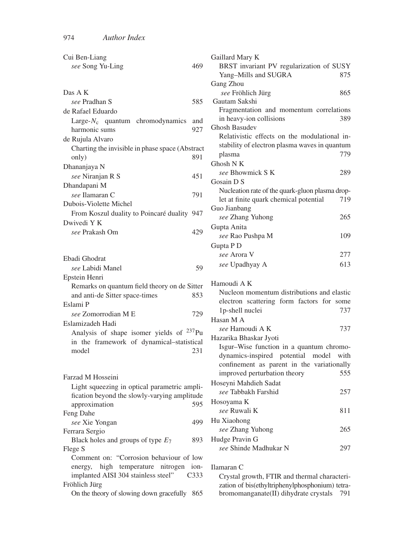| Cui Ben-Liang                                                 | Gaillard Mary K                                                                                 |
|---------------------------------------------------------------|-------------------------------------------------------------------------------------------------|
| 469<br>see Song Yu-Ling                                       | BRST invariant PV regularization of SUSY                                                        |
|                                                               | Yang-Mills and SUGRA<br>875                                                                     |
|                                                               | Gang Zhou                                                                                       |
| Das A K                                                       | see Fröhlich Jürg<br>865                                                                        |
| see Pradhan S<br>585                                          | Gautam Sakshi                                                                                   |
| de Rafael Eduardo                                             | Fragmentation and momentum correlations                                                         |
| Large- $N_c$ quantum chromodynamics<br>and                    | in heavy-ion collisions<br>389                                                                  |
| 927<br>harmonic sums                                          | <b>Ghosh Basudev</b>                                                                            |
| de Rujula Alvaro                                              | Relativistic effects on the modulational in-                                                    |
| Charting the invisible in phase space (Abstract               | stability of electron plasma waves in quantum                                                   |
| 891<br>only)                                                  | 779<br>plasma                                                                                   |
| Dhananjaya N                                                  | Ghosh N K                                                                                       |
| see Niranjan R S<br>451                                       | see Bhowmick S K<br>289                                                                         |
| Dhandapani M                                                  | Gosain D S                                                                                      |
| see Ilamaran C<br>791                                         | Nucleation rate of the quark-gluon plasma drop-                                                 |
| Dubois-Violette Michel                                        | let at finite quark chemical potential<br>719                                                   |
| From Koszul duality to Poincaré duality 947                   | Guo Jianbang                                                                                    |
| Dwivedi Y K                                                   | see Zhang Yuhong<br>265                                                                         |
| see Prakash Om<br>429                                         | Gupta Anita                                                                                     |
|                                                               | see Rao Pushpa M<br>109                                                                         |
|                                                               | Gupta P D                                                                                       |
| Ebadi Ghodrat                                                 | see Arora V<br>277                                                                              |
| see Labidi Manel<br>59                                        | 613<br>see Upadhyay A                                                                           |
| Epstein Henri                                                 |                                                                                                 |
| Remarks on quantum field theory on de Sitter                  | Hamoudi A K                                                                                     |
| and anti-de Sitter space-times<br>853                         | Nucleon momentum distributions and elastic                                                      |
| Eslami P                                                      | electron scattering form factors for some                                                       |
| see Zomorrodian M E<br>729                                    | 1p-shell nuclei<br>737                                                                          |
| Eslamizadeh Hadi                                              | Hasan M A                                                                                       |
| Analysis of shape isomer yields of <sup>237</sup> Pu          | see Hamoudi A K<br>737                                                                          |
| in the framework of dynamical-statistical                     | Hazarika Bhaskar Jyoti                                                                          |
| model<br>231                                                  | Isgur-Wise function in a quantum chromo-                                                        |
|                                                               | dynamics-inspired potential model<br>with                                                       |
|                                                               | confinement as parent in the variationally                                                      |
| Farzad M Hosseini                                             | improved perturbation theory<br>555                                                             |
| Light squeezing in optical parametric ampli-                  | Hoseyni Mahdieh Sadat                                                                           |
| fication beyond the slowly-varying amplitude                  | see Tabbakh Farshid<br>257                                                                      |
| approximation<br>595                                          | Hosoyama K                                                                                      |
| Feng Dahe                                                     | see Ruwali K<br>811                                                                             |
| 499<br>see Xie Yongan                                         | Hu Xiaohong                                                                                     |
| Ferrara Sergio                                                | see Zhang Yuhong<br>265                                                                         |
| Black holes and groups of type $E_7$<br>893                   | Hudge Pravin G                                                                                  |
| Flege S                                                       | see Shinde Madhukar N<br>297                                                                    |
| Comment on: "Corrosion behaviour of low                       |                                                                                                 |
| high temperature nitrogen ion-<br>energy,                     |                                                                                                 |
|                                                               | Ilamaran C                                                                                      |
| implanted AISI 304 stainless steel"<br>C <sub>333</sub>       | Crystal growth, FTIR and thermal characteri-                                                    |
| Fröhlich Jürg<br>On the theory of slowing down gracefully 865 | zation of bis(ethyltriphenylphosphonium) tetra-<br>bromomanganate(II) dihydrate crystals<br>791 |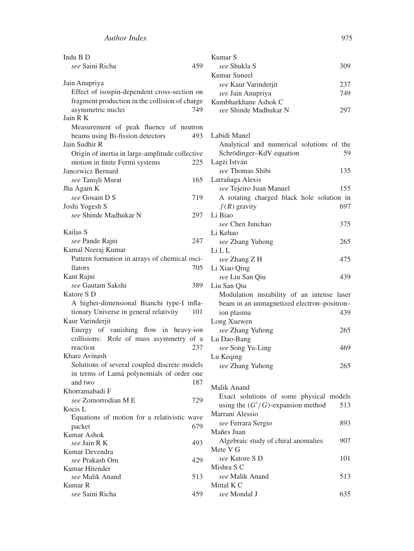| Indu B D                                        | Kumar S                                         |
|-------------------------------------------------|-------------------------------------------------|
| see Saini Richa<br>459                          | see Shukla S<br>309                             |
|                                                 | Kumar Suneel                                    |
| Jain Anupriya                                   | see Kaur Varinderjit<br>237                     |
| Effect of isospin-dependent cross-section on    | see Jain Anupriya<br>749                        |
| fragment production in the collision of charge  | Kumbharkhane Ashok C                            |
| asymmetric nuclei<br>749                        | see Shinde Madhukar N<br>297                    |
| Jain R K                                        |                                                 |
| Measurement of peak fluence of neutron          |                                                 |
| beams using Bi-fission detectors<br>493         | Labidi Manel                                    |
| Jain Sudhir R                                   | Analytical and numerical solutions of the       |
| Origin of inertia in large-amplitude collective | 59<br>Schrödinger-KdV equation                  |
| motion in finite Fermi systems<br>225           | Lagzi István                                    |
| Jancewicz Bernard                               | see Thomas Shibi<br>135                         |
| see Tanişli Murat<br>165                        | Larrañaga Alexis                                |
| Jha Agam K                                      | see Tejeiro Juan Manuel<br>155                  |
| see Gosain D S<br>719                           | A rotating charged black hole solution in       |
| Joshi Yogesh S                                  | $f(R)$ gravity<br>697                           |
| see Shinde Madhukar N<br>297                    | Li Biao                                         |
| Kailas S                                        | see Chen Junchao<br>375                         |
| 247<br>see Pande Rajni                          | Li Kehao                                        |
| Kamal Neeraj Kumar                              | see Zhang Yuhong<br>265<br>Li L L               |
| Pattern formation in arrays of chemical osci-   | see Zhang Z H<br>475                            |
| 705<br>llators                                  | Li Xiao Qing                                    |
| Kant Rajni                                      | 439<br>see Liu San Qiu                          |
| see Gautam Sakshi<br>389                        | Liu San Oiu                                     |
| Katore S D                                      | Modulation instability of an intense laser      |
| A higher-dimensional Bianchi type-I infla-      | beam in an unmagnetized electron-positron-      |
| tionary Universe in general relativity<br>101   | ion plasma<br>439                               |
| Kaur Varinderjit                                | Long Xuewen                                     |
| Energy of vanishing flow in heavy-ion           | see Zhang Yuhong<br>265                         |
| collisions: Role of mass asymmetry of a         | Lu Dao-Bang                                     |
| reaction<br>237                                 | see Song Yu-Ling<br>469                         |
| Khare Avinash                                   | Lu Keqing                                       |
| Solutions of several coupled discrete models    | 265<br>see Zhang Yuhong                         |
| in terms of Lamá polynomials of order one       |                                                 |
| and two<br>187                                  |                                                 |
| Khorramabadi F                                  | Malik Anand                                     |
| see Zomorrodian M E<br>729                      | Exact solutions of some physical models         |
| Kocis L                                         | using the $(G'/G)$ -expansion method<br>513     |
| Equations of motion for a relativistic wave     | Marrani Alessio                                 |
| packet<br>679                                   | see Ferrara Sergio<br>893<br>Mañes Juan         |
| <b>Kumar Ashok</b>                              | 907                                             |
| see Jain R K<br>493                             | Algebraic study of chiral anomalies<br>Mete V G |
| Kumar Devendra                                  | see Katore S D                                  |
| see Prakash Om<br>429                           | 101<br>Mishra S C                               |
| Kumar Hitender<br>see Malik Anand               | see Malik Anand<br>513                          |
| 513<br>Kumar R                                  | Mittal K C                                      |
| see Saini Richa<br>459                          | see Mondal J<br>635                             |
|                                                 |                                                 |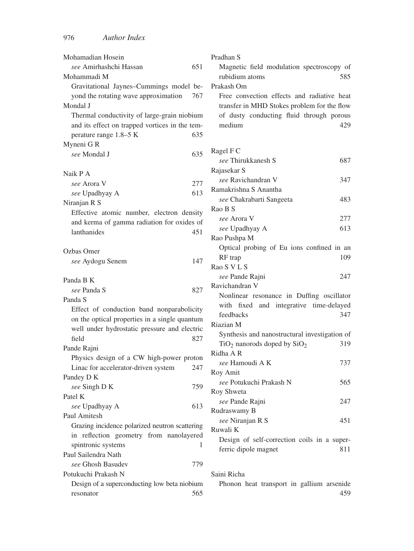| Mohamadian Hosein                              | Pradhan S                                     |
|------------------------------------------------|-----------------------------------------------|
| see Amirhashchi Hassan<br>651                  | Magnetic field modulation spectroscopy of     |
| Mohammadi M                                    | 585<br>rubidium atoms                         |
| Gravitational Jaynes-Cummings model be-        | Prakash Om                                    |
| yond the rotating wave approximation<br>767    | Free convection effects and radiative heat    |
| Mondal J                                       | transfer in MHD Stokes problem for the flow   |
| Thermal conductivity of large-grain niobium    | of dusty conducting fluid through porous      |
| and its effect on trapped vortices in the tem- | medium<br>429                                 |
| perature range 1.8–5 K<br>635                  |                                               |
| Myneni GR                                      |                                               |
| 635<br>see Mondal J                            | Ragel F C                                     |
|                                                | see Thirukkanesh S<br>687                     |
| Naik P A                                       | Rajasekar S                                   |
| see Arora V<br>277                             | see Ravichandran V<br>347                     |
| 613<br>see Upadhyay A                          | Ramakrishna S Anantha                         |
| Niranjan R S                                   | see Chakrabarti Sangeeta<br>483               |
| Effective atomic number, electron density      | Rao B S                                       |
| and kerma of gamma radiation for oxides of     | see Arora V<br>277                            |
| lanthanides<br>451                             | 613<br>see Upadhyay A                         |
|                                                | Rao Pushpa M                                  |
| Ozbas Omer                                     | Optical probing of Eu ions confined in an     |
| 147                                            | RF trap<br>109                                |
| see Aydogu Senem                               | Rao S V L S                                   |
|                                                | see Pande Rajni<br>247                        |
| Panda B K<br>see Panda S<br>827                | Ravichandran V                                |
| Panda S                                        | Nonlinear resonance in Duffing oscillator     |
|                                                | with fixed and integrative time-delayed       |
| Effect of conduction band nonparabolicity      | feedbacks<br>347                              |
| on the optical properties in a single quantum  | Riazian M                                     |
| well under hydrostatic pressure and electric   | Synthesis and nanostructural investigation of |
| field<br>827                                   | $TiO2$ nanorods doped by $SiO2$<br>319        |
| Pande Rajni                                    | Ridha A R                                     |
| Physics design of a CW high-power proton       | see Hamoudi A K<br>737                        |
| Linac for accelerator-driven system<br>247     | Roy Amit                                      |
| Pandey D K                                     | see Potukuchi Prakash N<br>565                |
| see Singh D K<br>759                           | Roy Shweta                                    |
| Patel K                                        | see Pande Rajni<br>247                        |
| see Upadhyay A<br>613                          | Rudraswamy B                                  |
| Paul Amitesh                                   | see Niranjan R S<br>451                       |
| Grazing incidence polarized neutron scattering | Ruwali K                                      |
| in reflection geometry from nanolayered        | Design of self-correction coils in a super-   |
| spintronic systems<br>T                        | ferric dipole magnet<br>811                   |
| Paul Sailendra Nath                            |                                               |
| see Ghosh Basudev<br>779                       |                                               |
| Potukuchi Prakash N                            | Saini Richa                                   |
| Design of a superconducting low beta niobium   | Phonon heat transport in gallium arsenide     |
| 565<br>resonator                               | 459                                           |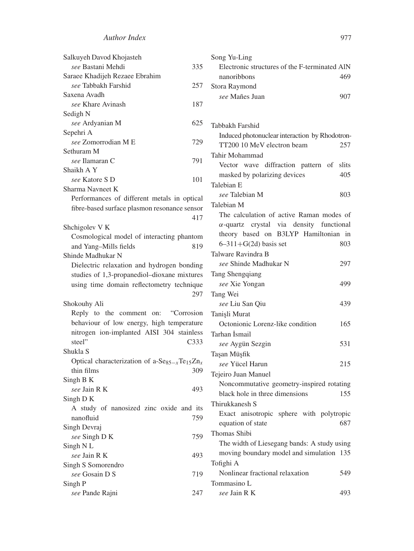| Salkuyeh Davod Khojasteh                                                          |   |
|-----------------------------------------------------------------------------------|---|
| see Bastani Mehdi<br>335                                                          |   |
| Saraee Khadijeh Rezaee Ebrahim                                                    |   |
| see Tabbakh Farshid<br>257                                                        | Į |
| Saxena Avadh                                                                      |   |
| see Khare Avinash<br>187                                                          |   |
| Sedigh N                                                                          |   |
| 625<br>see Ardyanian M                                                            |   |
| Sepehri A                                                                         |   |
| see Zomorrodian M E<br>729                                                        |   |
| Sethuram M                                                                        |   |
| see Ilamaran C<br>791                                                             |   |
| Shaikh A Y                                                                        |   |
| see Katore S D<br>101                                                             |   |
| Sharma Navneet K                                                                  |   |
| Performances of different metals in optical                                       |   |
| fibre-based surface plasmon resonance sensor                                      |   |
| 417                                                                               |   |
| Shchigolev V K                                                                    |   |
| Cosmological model of interacting phantom                                         |   |
| and Yang-Mills fields<br>819                                                      |   |
| Shinde Madhukar N                                                                 |   |
| Dielectric relaxation and hydrogen bonding                                        |   |
| studies of 1,3-propanediol-dioxane mixtures                                       | ŗ |
| using time domain reflectometry technique                                         |   |
| 297                                                                               | ŗ |
| Shokouhy Ali                                                                      |   |
| Reply to the comment on:<br>"Corrosion                                            | ŗ |
| behaviour of low energy, high temperature                                         |   |
| nitrogen ion-implanted AISI 304 stainless                                         | ŗ |
| steel"<br>C333                                                                    |   |
| Shukla S                                                                          | ŗ |
| Optical characterization of a-Se <sub>85-x</sub> Te <sub>15</sub> Zn <sub>x</sub> |   |
| thin films<br>309                                                                 | ŗ |
| Singh B K                                                                         |   |
| see Jain R K<br>493                                                               |   |
| Singh D K                                                                         |   |
| A study of nanosized zinc oxide and its                                           |   |
| nanofluid<br>759                                                                  |   |
| Singh Devraj                                                                      |   |
| 759<br>see Singh D K                                                              |   |
| Singh NL                                                                          |   |
| see Jain R K<br>493                                                               |   |
| Singh S Somorendro                                                                |   |
| see Gosain D S<br>719                                                             |   |
| Singh P                                                                           |   |
| see Pande Rajni<br>247                                                            |   |
|                                                                                   |   |

| Song Yu-Ling                                    |       |
|-------------------------------------------------|-------|
| Electronic structures of the F-terminated AlN   |       |
| nanoribbons                                     | 469   |
| Stora Raymond                                   |       |
| see Mañes Juan                                  | 907   |
|                                                 |       |
|                                                 |       |
| Tabbakh Farshid                                 |       |
| Induced photonuclear interaction by Rhodotron-  |       |
| TT200 10 MeV electron beam                      | 257   |
| Tahir Mohammad                                  |       |
| Vector wave diffraction pattern of              | slits |
| masked by polarizing devices                    | 405   |
| Talebian E                                      |       |
| see Talebian M                                  | 803   |
| Talebian M                                      |       |
| The calculation of active Raman modes of        |       |
| $\alpha$ -quartz crystal via density functional |       |
| theory based on B3LYP Hamiltonian               | in    |
| $6-311+G(2d)$ basis set                         | 803   |
| Talware Ravindra B                              |       |
| see Shinde Madhukar N                           | 297   |
| Tang Shengqiang                                 |       |
| see Xie Yongan                                  | 499   |
| Tang Wei                                        |       |
| see Liu San Qiu                                 | 439   |
| Tanişli Murat                                   |       |
| Octonionic Lorenz-like condition                | 165   |
| Tarhan İsmail                                   |       |
| see Aygün Sezgin                                | 531   |
| Taşan Müşfik                                    |       |
| see Yücel Harun                                 | 215   |
| Tejeiro Juan Manuel                             |       |
| Noncommutative geometry-inspired rotating       |       |
| black hole in three dimensions                  | 155   |
| Thirukkanesh S                                  |       |
| Exact anisotropic sphere with polytropic        |       |
| equation of state                               | 687   |
| Thomas Shibi                                    |       |
| The width of Liesegang bands: A study using     |       |
| moving boundary model and simulation            | 135   |
| Tofighi A                                       |       |
| Nonlinear fractional relaxation                 | 549   |
| Tommasino L                                     |       |
| see Jain R K                                    | 493   |